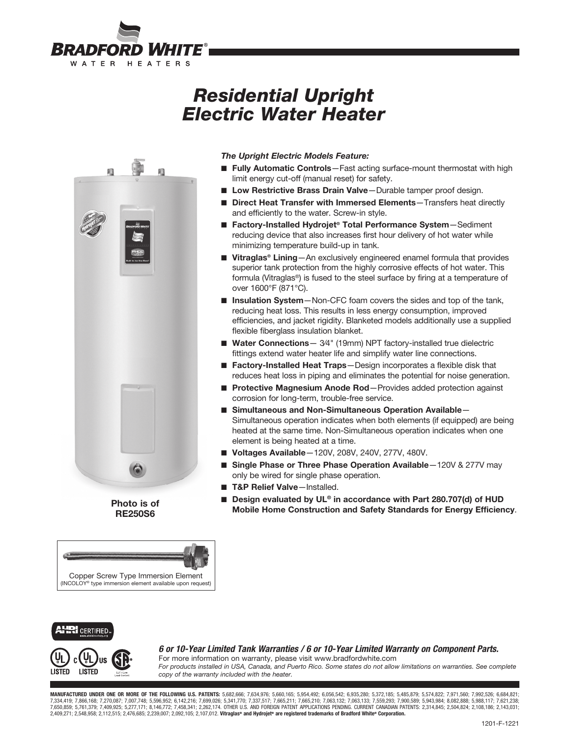

# *Residential Upright Electric Water Heater*



Photo is of RE250S6



### *The Upright Electric Models Feature:*

- Fully Automatic Controls-Fast acting surface-mount thermostat with high limit energy cut-off (manual reset) for safety.
- Low Restrictive Brass Drain Valve-Durable tamper proof design.
- Direct Heat Transfer with Immersed Elements–Transfers heat directly and efficiently to the water. Screw-in style.
- Factory-Installed Hydrojet® Total Performance System-Sediment reducing device that also increases first hour delivery of hot water while minimizing temperature build-up in tank.
- Vitraglas<sup>®</sup> Lining—An exclusively engineered enamel formula that provides superior tank protection from the highly corrosive effects of hot water. This formula (Vitraglas®) is fused to the steel surface by firing at a temperature of over 1600°F (871°C).
- Insulation System-Non-CFC foam covers the sides and top of the tank, reducing heat loss. This results in less energy consumption, improved efficiencies, and jacket rigidity. Blanketed models additionally use a supplied flexible fiberglass insulation blanket.
- Water Connections 3/4" (19mm) NPT factory-installed true dielectric fittings extend water heater life and simplify water line connections.
- Factory-Installed Heat Traps Design incorporates a flexible disk that reduces heat loss in piping and eliminates the potential for noise generation.
- Protective Magnesium Anode Rod-Provides added protection against corrosion for long-term, trouble-free service.
- Simultaneous and Non-Simultaneous Operation Available-Simultaneous operation indicates when both elements (if equipped) are being heated at the same time. Non-Simultaneous operation indicates when one element is being heated at a time.
- Voltages Available-120V, 208V, 240V, 277V, 480V.
- Single Phase or Three Phase Operation Available-120V & 277V may only be wired for single phase operation.
- T&P Relief Valve-Installed.
- **n** Design evaluated by UL® in accordance with Part 280.707(d) of HUD Mobile Home Construction and Safety Standards for Energy Efficiency.

### **RI** CERTIFIED



*6 or 10-Year Limited Tank Warranties / 6 or 10-Year Limited Warranty on Component Parts.* For more information on warranty, please visit www.bradfordwhite.com

*For products installed in USA, Canada, and Puerto Rico. Some states do not allow limitations on warranties. See complete copy of the warranty included with the heater.*

**MANUFACTURED UNDER ONE OR MORE OF THE FOLLOWING U.S. PATENTS:** 5,682,666; 7,634,976; 5,660,165; 5,954,492; 6,056,542; 6,935,280; 5,372,185; 5,485,879; 5,574,822; 7,971,560; 7,992,526; 6,684,821;<br>7,334,419; 7,866,168; 7,27 7,650,859; 5,761,379; 7,409,925; 5,277,171; 8,146,772; 7,458,341; 2,262,174. OTHER U.S. AND FOREIGN PATENT APPLICATIONS PENDING. CURRENT CANADIAN PATENTS: 2,314,845; 2,504,824; 2,108,186; 2,143,031; 2,409,271; 2,548,958; 2,112,515; 2,476,685; 2,239,007; 2,092,105; 2,107,012. Vitraglas® and Hydrojet® are registered trademarks of Bradford White® Corporation.